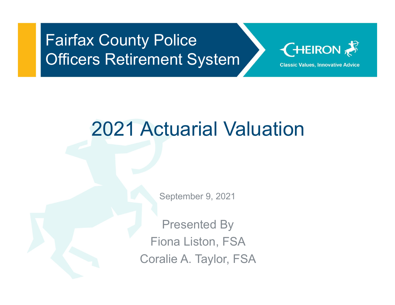#### Fairfax County Police **Officers Retirement System**



# 2021 Actuarial Valuation

September 9, 2021

Presented By Fiona Liston, FSA Coralie A. Taylor, FSA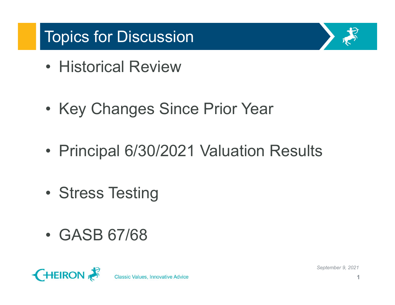# Topics for Discussion **Topics for Discussion**<br>• Historical Review

- 
- Fopics for Discussion<br>• Historical Review<br>• Key Changes Since Prior Year • Historical Review<br>• Key Changes Since Prior<br>• Principal 6/30/2021 Valuat<br>• Stress Testing
- Topics for Discussion<br>• Historical Review<br>• Key Changes Since Prior Year<br>• Principal 6/30/2021 Valuation Results • Ney Changes Since Price<br>• Principal 6/30/2021 Valu<br>• Stress Testing<br>• GASB 67/68
- 
- 



**Classic Values, Innovative Advice**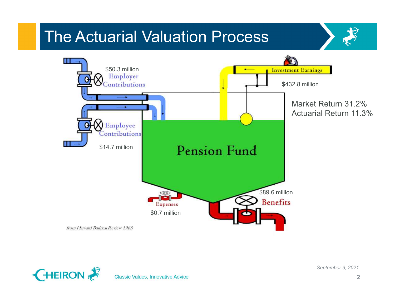



**Classic Values, Innovative Advice**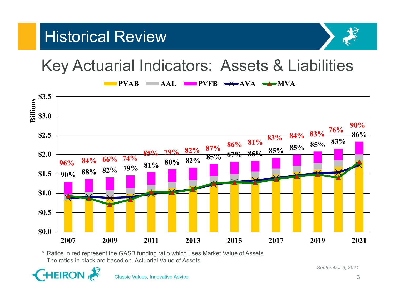



#### Key Actuarial Indicators: Assets & Liabilities



The ratios in black are based on Actuarial Value of Assets.

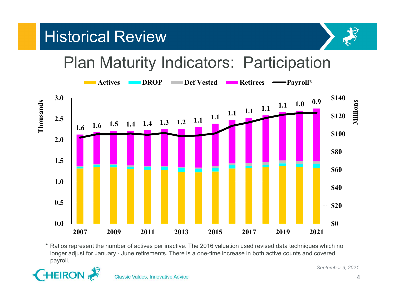#### Historical Review



#### Plan Maturity Indicators: Participation



payroll.

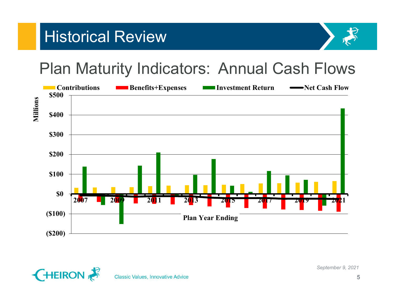



#### Plan Maturity Indicators: Annual Cash Flows





**Classic Values, Innovative Advice**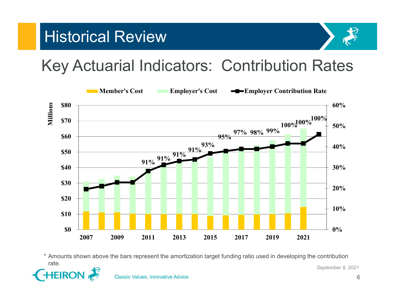



Key Actuarial Indicators: Contribution Rates



September 9, 2021 rate.

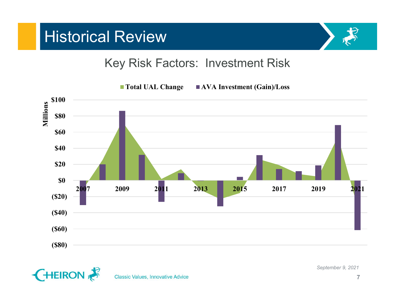#### **Historical Review**



#### Key Risk Factors: Investment Risk



■ Total UAL Change ■ AVA Investment (Gain)/Loss



**Classic Values, Innovative Advice**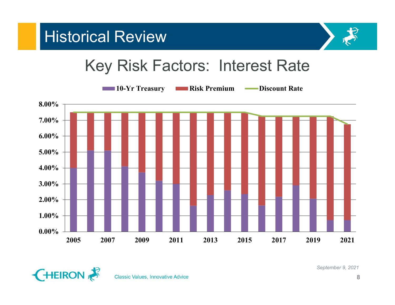

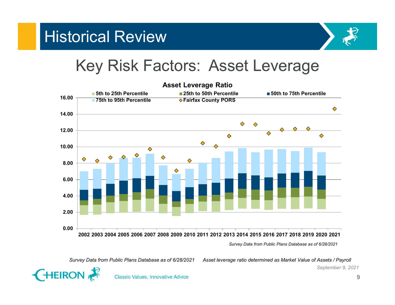

#### Key Risk Factors: Asset Leverage



Survey Data from Public Plans Database as of 6/28/2021

Survey Data from Public Plans Database as of 6/28/2021 Asset leverage ratio determined as Market Value of Assets / Payroll



**Classic Values, Innovative Advice**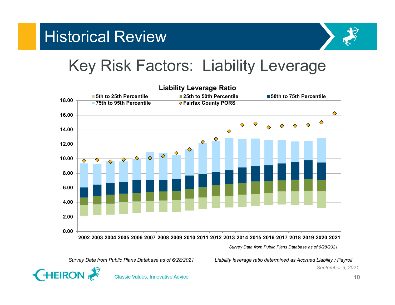



#### Key Risk Factors: Liability Leverage



Survey Data from Public Plans Database as of 6/28/2021



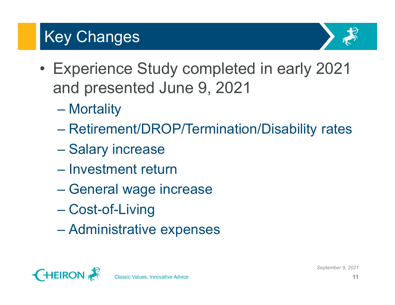#### Key Changes



- experience Study completed in early 2021<br>
and presented June 9, 2021 and presented June 9, 2021 ey Changes<br>Experience Study comple<br>and presented June 9, 20<br>– Mortality<br>– Retirement/DROP/Termina Experience Study completed in early 2021<br>
and presented June 9, 2021<br>
- Mortality<br>
- Retirement/DROP/Termination/Disability rates<br>
- Salary increase ey Changes<br>Experience Study complete<br>and presented June 9, 2021<br>– Mortality<br>– Retirement/DROP/Terminatio<br>– Salary increase<br>– Investment return Experience Study completed<br>
and presented June 9, 2021<br>
- Mortality<br>
- Retirement/DROP/Termination/<br>
- Salary increase<br>
- Investment return<br>
- General wage increase Experience Study completed in ea<br>
and presented June 9, 2021<br>
– Mortality<br>
– Retirement/DROP/Termination/Disab<br>
– Salary increase<br>
– Investment return<br>
– General wage increase<br>
– Cost-of-Living
	-
	- and presented June 9, 202<br>
	 Mortality<br>
	 Retirement/DROP/Terminat<br>
	 Salary increase<br>
	 Investment return<br>
	 General wage increase<br>
	 Cost-of-Living<br>
	 Administrative expenses – Mortality<br>– Retirement/DROP/Termination/Disab<br>– Salary increase<br>– Investment return<br>– General wage increase<br>– Cost-of-Living<br>– Administrative expenses
	-
	-
	-
	-
	-

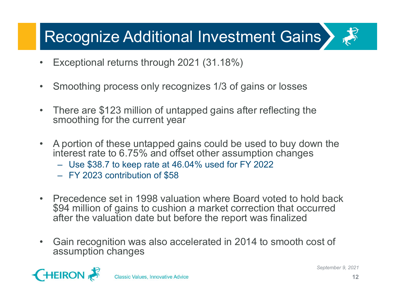# Recognize Additional Investment Gains Recognize Additional Investment G<br>• Exceptional returns through 2021 (31.18%)<br>• Smoothing process only recognizes 1/3 of gains or los • Recognize Additional Investment Gains<br>• Exceptional returns through 2021 (31.18%)<br>• Smoothing process only recognizes 1/3 of gains or losses<br>• There are \$123 million of untapped gains after reflecting the smoothing for t

- 
- 
- Exceptional returns through 2021 (31.18%)<br>• Smoothing process only recognizes 1/3 of gains or losses<br>• There are \$123 million of untapped gains after reflecting the smoothing for the current year<br>• A portion of these unt smoothing for the current year
- Exceptional returns through 2021 (31.18%)<br>• Smoothing process only recognizes 1/3 of gains or losses<br>• There are \$123 million of untapped gains after reflecting the<br>• smoothing for the current year<br>• A portion of these • A portion of these untapped gains could be used to buy down the interest rate to 6.75% and offset other assumption changes ECOOTILZE AQUITIONEL INVESTMENT GEINS<br>Exceptional returns through 2021 (31.18%)<br>Smoothing process only recognizes 1/3 of gains or losses<br>There are \$123 million of untapped gains after reflecting the<br>moothing for the curre Exceptional returns through 2021 (31.18%)<br>
Smoothing process only recognizes 1/3 of gains<br>
There are \$123 million of untapped gains after remoothing for the current year<br>
A portion of these untapped gains could be used<br>
th
	-
	-
- Smoothing process only recognizes 1/3 of gains or losses<br>• There are \$123 million of untapped gains after reflecting the<br>smoothing for the current year<br>• A portion of these untapped gains could be used to buy down the<br>in \$94 million of gains to cushion a market correction that occurred after the valuation date but before the report was finalized • Gain recognition was also accelerated in 2014 to smooth cost of<br>
Suppliers and the sum also accelerate in 1998 valuation where Board voted to hold back<br>
• Precedence set in 1998 valuation where Board voted to hold back<br>
- assumption changes

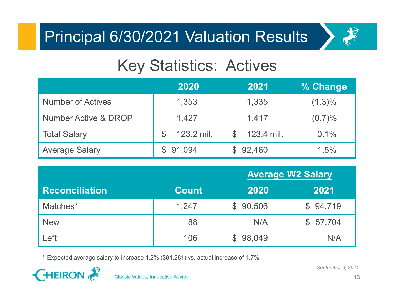

#### Key Statistics: Actives

| <b>Principal 6/30/2021 Valuation Results</b> |                                |                             | 今                       |
|----------------------------------------------|--------------------------------|-----------------------------|-------------------------|
|                                              | <b>Key Statistics: Actives</b> |                             |                         |
|                                              | 2020                           | 2021                        | % Change                |
| <b>Number of Actives</b>                     | 1,353                          | 1,335                       | $(1.3)\%$               |
| <b>Number Active &amp; DROP</b>              | 1,427                          | 1,417                       | (0.7)%                  |
| <b>Total Salary</b>                          | \$<br>123.2 mil.               | 123.4 mil.<br>$\mathcal{L}$ | 0.1%                    |
| <b>Average Salary</b>                        | 91,094<br>$\mathbb{S}$         | $\mathbb{S}$<br>92,460      | 1.5%                    |
|                                              |                                | <b>Average W2 Salary</b>    |                         |
| <b>Reconciliation</b>                        | <b>Count</b>                   | 2020                        | 2021                    |
| Matches*                                     | 1,247                          | 90,506<br>$\mathcal{S}$     | \$94,719                |
| <b>New</b>                                   | 88                             | N/A                         | 57,704<br>$\mathcal{L}$ |
| $\mathsf{H}$                                 | 106                            | \$98049                     | N/A                     |

| <b>Number of Actives</b>                                                           | 1,353                               | 1,335                       | $(1.3)\%$         |
|------------------------------------------------------------------------------------|-------------------------------------|-----------------------------|-------------------|
| <b>Number Active &amp; DROP</b>                                                    | 1,427                               | 1,417                       | (0.7)%            |
| <b>Total Salary</b>                                                                | $\boldsymbol{\theta}$<br>123.2 mil. | $\frac{1}{2}$<br>123.4 mil. | 0.1%              |
| <b>Average Salary</b>                                                              | \$91,094                            | \$92,460                    | 1.5%              |
|                                                                                    |                                     | <b>Average W2 Salary</b>    |                   |
| <b>Reconciliation</b>                                                              | <b>Count</b>                        | 2020                        | 2021              |
| Matches*                                                                           | 1,247                               | \$90,506                    | \$94,719          |
| <b>New</b>                                                                         | 88                                  | N/A                         | \$57,704          |
| Left                                                                               | 106                                 | \$98,049                    | N/A               |
| * Expected average salary to increase 4.2% (\$94,281) vs. actual increase of 4.7%. |                                     |                             |                   |
| <b>HEIRON</b><br><b>Classic Values, Innovative Advice</b>                          |                                     |                             | September 9, 2021 |

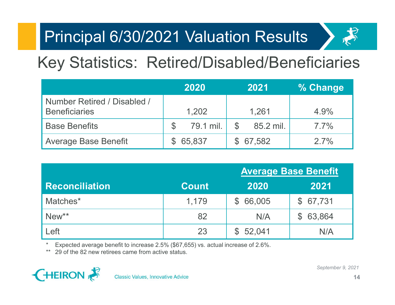

# Key Statistics: Retired/Disabled/Beneficiaries

| <b>Principal 6/30/2021 Valuation Results</b>          |                            |                            |                             |
|-------------------------------------------------------|----------------------------|----------------------------|-----------------------------|
| <b>Key Statistics: Retired/Disabled/Beneficiaries</b> |                            |                            |                             |
|                                                       | 2020                       | 2021                       | % Change                    |
| Number Retired / Disabled /<br><b>Beneficiaries</b>   | 1,202                      | 1,261                      | 4.9%                        |
| <b>Base Benefits</b>                                  | $\mathcal{C}$<br>79.1 mil. | $\mathcal{S}$<br>85.2 mil. | $7.7\%$                     |
| <b>Average Base Benefit</b>                           | 65,837<br>$\mathcal{L}$    | $\mathfrak{L}$<br>67,582   | 2.7%                        |
|                                                       |                            |                            |                             |
|                                                       |                            |                            | <b>Average Base Benefit</b> |
| <b>Reconciliation</b>                                 | <b>Count</b>               | 2020                       | 2021                        |
| Matches*                                              | 1,179                      | 66,005<br>$\mathcal{S}$    | \$67,731                    |
| New**                                                 | 82                         | N/A                        | \$63,864                    |

|                                                                                                                                         | 2020                                    | 2021                       | % Change                    |
|-----------------------------------------------------------------------------------------------------------------------------------------|-----------------------------------------|----------------------------|-----------------------------|
| Number Retired / Disabled /<br><b>Beneficiaries</b>                                                                                     | 1,202                                   | 1,261                      | 4.9%                        |
| <b>Base Benefits</b>                                                                                                                    | $\boldsymbol{\mathcal{S}}$<br>79.1 mil. | $\mathcal{S}$<br>85.2 mil. | 7.7%                        |
| <b>Average Base Benefit</b>                                                                                                             | 65,837<br>$\mathbb{S}$                  | $\mathbb{S}^-$<br>67,582   | 2.7%                        |
|                                                                                                                                         |                                         |                            |                             |
|                                                                                                                                         |                                         |                            | <b>Average Base Benefit</b> |
| <b>Reconciliation</b>                                                                                                                   | <b>Count</b>                            | 2020                       | 2021                        |
| Matches*                                                                                                                                | 1,179                                   | 66,005<br>$\mathbb{S}$     | 67,731<br>$\mathbb{S}^-$    |
| New**                                                                                                                                   | 82                                      | N/A                        | 63,864<br>$\mathbb{S}^-$    |
| Left                                                                                                                                    | 23                                      | 52,041<br>$\mathbb{S}$     | N/A                         |
| Expected average benefit to increase 2.5% (\$67,655) vs. actual increase of 2.6%.<br>29 of the 82 new retirees came from active status. |                                         |                            |                             |
| <b>HEIRON</b><br><b>Classic Values, Innovative Advice</b>                                                                               |                                         |                            | September 9, 2021           |

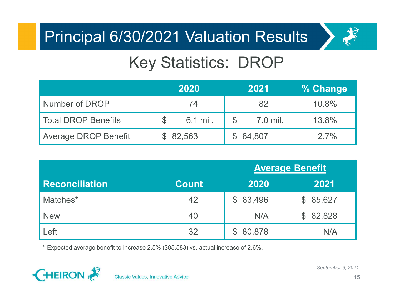

# Key Statistics: DROP

| <b>Principal 6/30/2021 Valuation Results</b> |                             |                           | お        |
|----------------------------------------------|-----------------------------|---------------------------|----------|
|                                              | <b>Key Statistics: DROP</b> |                           |          |
|                                              | 2020                        | 2021                      | % Change |
| Number of DROP                               | 74                          | 82                        | 10.8%    |
| <b>Total DROP Benefits</b>                   | $\mathcal{S}$<br>6.1 mil.   | $\mathcal{S}$<br>7.0 mil. | 13.8%    |
| <b>Average DROP Benefit</b>                  | $\mathcal{S}$<br>82,563     | $\mathfrak{F}$<br>84,807  | 2.7%     |
|                                              |                             |                           |          |
|                                              |                             | <b>Average Benefit</b>    |          |
| <b>Reconciliation</b>                        | <b>Count</b>                | 2020                      | 2021     |
| Matches*                                     | 42                          | \$83,496                  | \$85,627 |
| <b>New</b>                                   | 40                          | N/A                       | \$8282   |

|                                                                                     | 2020                              | 2021                       | % Change                |
|-------------------------------------------------------------------------------------|-----------------------------------|----------------------------|-------------------------|
| Number of DROP                                                                      | 74                                | 82                         | 10.8%                   |
| <b>Total DROP Benefits</b>                                                          | $\boldsymbol{\theta}$<br>6.1 mil. | $\mathfrak{S}$<br>7.0 mil. | 13.8%                   |
| <b>Average DROP Benefit</b>                                                         | $\mathcal{S}$<br>82,563           | $\mathcal{L}$<br>84,807    | 2.7%                    |
|                                                                                     |                                   |                            |                         |
|                                                                                     |                                   |                            | <b>Average Benefit</b>  |
| <b>Reconciliation</b>                                                               | <b>Count</b>                      | 2020                       | 2021                    |
| Matches*                                                                            | 42                                | 83,496<br>$\mathcal{L}$    | $\mathcal{S}$<br>85,627 |
| <b>New</b>                                                                          | 40                                | N/A                        | \$<br>82,828            |
| Left                                                                                | 32                                | $\mathcal{L}$<br>80,878    | N/A                     |
|                                                                                     |                                   |                            |                         |
| * Expected average benefit to increase 2.5% (\$85,583) vs. actual increase of 2.6%. |                                   |                            |                         |
| HEIRON <b>R</b>                                                                     |                                   |                            | September 9, 2021       |

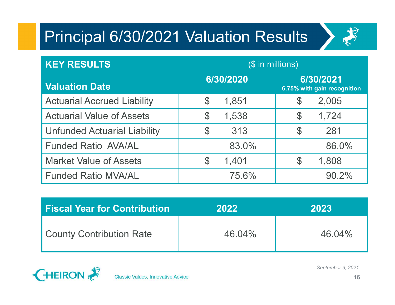

| <b>Principal 6/30/2021 Valuation Results</b> |                         | お                                        |
|----------------------------------------------|-------------------------|------------------------------------------|
| <b>KEY RESULTS</b>                           |                         | $($$ in millions)                        |
| <b>Valuation Date</b>                        | 6/30/2020               | 6/30/2021<br>6.75% with gain recognition |
| <b>Actuarial Accrued Liability</b>           | $\mathbb S$<br>1,851    | $\mathbb S$<br>2,005                     |
| <b>Actuarial Value of Assets</b>             | $\mathfrak{P}$<br>1,538 | $\mathcal{S}$<br>1,724                   |
| <b>Unfunded Actuarial Liability</b>          | $\mathfrak{P}$<br>313   | $\mathcal{C}$<br>281                     |
| <b>Funded Ratio AVA/AL</b>                   | 83.0%                   | 86.0%                                    |
| <b>Market Value of Assets</b>                | ${\mathbb S}$<br>1,401  | $\mathcal{C}$<br>1,808                   |
| <b>Funded Ratio MVA/AL</b>                   | 75.6%                   | 90.2%                                    |
|                                              |                         |                                          |
| <b>Fiscal Year for Contribution</b>          | 2022                    | 2023                                     |
| <b>County Contribution Rate</b>              | 46.04%                  | 46.04%                                   |
|                                              |                         | Sentember 0 2021                         |

| Fiscal Year for Contribution! | 2022   | 2023      |
|-------------------------------|--------|-----------|
| County Contribution Rate      | 46.04% | $46.04\%$ |



**Classic Values, Innovative Advice**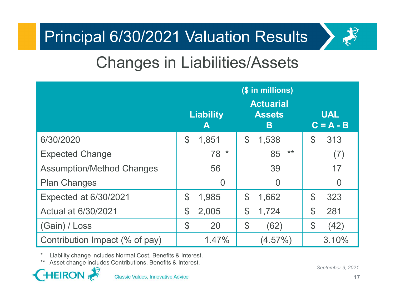

## Changes in Liabilities/Assets

| <b>Principal 6/30/2021 Valuation Results</b>                                                                                                                                                      |                       |                                                             | 戈                             |
|---------------------------------------------------------------------------------------------------------------------------------------------------------------------------------------------------|-----------------------|-------------------------------------------------------------|-------------------------------|
| <b>Changes in Liabilities/Assets</b>                                                                                                                                                              |                       |                                                             |                               |
|                                                                                                                                                                                                   | <b>Liability</b><br>A | (\$ in millions)<br><b>Actuarial</b><br><b>Assets</b><br>B. | <b>UAL</b><br>$C = A - B$     |
| 6/30/2020                                                                                                                                                                                         | ${\cal P}$<br>1,851   | $\mathcal{S}$<br>1,538                                      | $\mathbb{S}$<br>313           |
| <b>Expected Change</b>                                                                                                                                                                            | $78*$                 | $***$<br>85                                                 | (7)                           |
| <b>Assumption/Method Changes</b>                                                                                                                                                                  | 56                    | 39                                                          | 17                            |
| <b>Plan Changes</b>                                                                                                                                                                               | $\overline{0}$        | $\Omega$                                                    | $\Omega$                      |
| Expected at 6/30/2021                                                                                                                                                                             | $\mathbb S$<br>1,985  | $\mathcal{C}$<br>1,662                                      | $\mathcal{S}$<br>323          |
| Actual at 6/30/2021                                                                                                                                                                               | 2,005<br>$\$$         | $\mathcal{C}$<br>1,724                                      | $\mathcal{S}$<br>281          |
| (Gain) / Loss                                                                                                                                                                                     | \$<br>20              | $\boldsymbol{\theta}$<br>(62)                               | $\boldsymbol{\theta}$<br>(42) |
| Contribution Impact (% of pay)                                                                                                                                                                    | 1.47%                 | $(4.57\%)$                                                  | 3.10%                         |
| $^\star$<br>Liability change includes Normal Cost, Benefits & Interest.<br>Asset change includes Contributions, Benefits & Interest.<br><b>HEIRON</b><br><b>Classic Values, Innovative Advice</b> |                       |                                                             | September 9, 2021<br>17       |

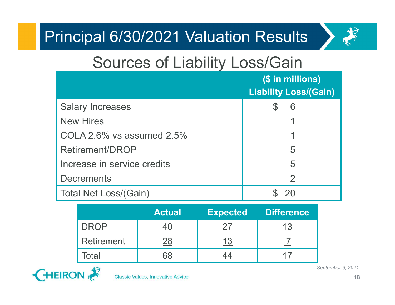

#### Sources of Liability Loss/Gain

| rincipal 6/30/2021 Valuation Results |                                          |                 |   |                                                  |  |                   |
|--------------------------------------|------------------------------------------|-----------------|---|--------------------------------------------------|--|-------------------|
|                                      | <b>Sources of Liability Loss/Gain</b>    |                 |   |                                                  |  |                   |
|                                      |                                          |                 |   | (\$ in millions)<br><b>Liability Loss/(Gain)</b> |  |                   |
| <b>Salary Increases</b>              |                                          |                 |   | 6<br>S                                           |  |                   |
| <b>New Hires</b>                     |                                          |                 |   |                                                  |  |                   |
| COLA 2.6% vs assumed $2.5%$          |                                          |                 |   |                                                  |  |                   |
| <b>Retirement/DROP</b>               |                                          |                 | 5 |                                                  |  |                   |
| Increase in service credits          |                                          |                 |   | 5                                                |  |                   |
| <b>Decrements</b>                    |                                          |                 |   | $\overline{2}$                                   |  |                   |
| <b>Total Net Loss/(Gain)</b>         |                                          |                 |   | 20                                               |  |                   |
|                                      | <b>Actual</b>                            | <b>Expected</b> |   | <b>Difference</b>                                |  |                   |
| <b>DROP</b>                          | 40                                       | 27              |   | 13                                               |  |                   |
| <b>Retirement</b>                    | $\frac{28}{1}$                           | <u>13</u>       |   | $\overline{1}$                                   |  |                   |
| Total                                | 68                                       | 44              |   | 17                                               |  |                   |
| EIRON                                | <b>Classic Values, Innovative Advice</b> |                 |   |                                                  |  | September 9, 2021 |

|             | <b>Actual</b> | <b>Expected</b> | <b>Difference</b> |
|-------------|---------------|-----------------|-------------------|
| <b>DROP</b> | 40            | 27              | 13                |
| Retirement  | 28            |                 |                   |
| Гоtal       | 68            |                 |                   |

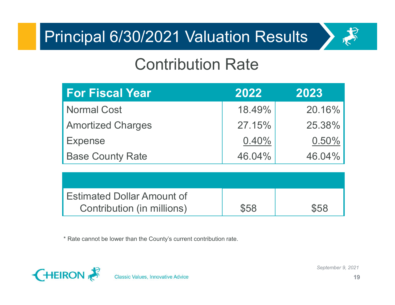

#### Contribution Rate

| incipal 6/30/2021 Valuation Results                             |        |        |
|-----------------------------------------------------------------|--------|--------|
| <b>Contribution Rate</b>                                        |        |        |
| <b>For Fiscal Year</b>                                          | 2022   | 2023   |
| <b>Normal Cost</b>                                              | 18.49% | 20.16% |
| <b>Amortized Charges</b>                                        | 27.15% | 25.38% |
| <b>Expense</b>                                                  | 0.40%  | 0.50%  |
| <b>Base County Rate</b>                                         | 46.04% | 46.04% |
|                                                                 |        |        |
| <b>Estimated Dollar Amount of</b><br>Contribution (in millions) | \$58   | \$58   |

| <b>Estimated Dollar Amount of</b> |      |      |
|-----------------------------------|------|------|
| Contribution (in millions)        | \$58 | \$58 |



**Classic Values, Innovative Advice**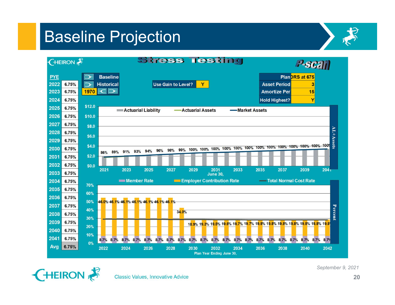#### Baseline Projection





**Classic Values, Innovative Advice**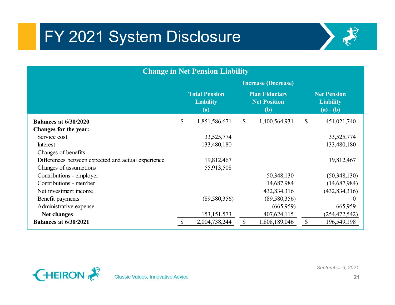# FY 2021 System Disclosure



| FY 2021 System Disclosure                          |                            |                                                 |              |                                                     |                           |                                                       |  |  |
|----------------------------------------------------|----------------------------|-------------------------------------------------|--------------|-----------------------------------------------------|---------------------------|-------------------------------------------------------|--|--|
|                                                    |                            |                                                 |              |                                                     |                           |                                                       |  |  |
|                                                    |                            |                                                 |              |                                                     |                           |                                                       |  |  |
| <b>Change in Net Pension Liability</b>             |                            |                                                 |              |                                                     |                           |                                                       |  |  |
|                                                    | <b>Increase (Decrease)</b> |                                                 |              |                                                     |                           |                                                       |  |  |
|                                                    |                            | <b>Total Pension</b><br><b>Liability</b><br>(a) |              | <b>Plan Fiduciary</b><br><b>Net Position</b><br>(b) |                           | <b>Net Pension</b><br><b>Liability</b><br>$(a) - (b)$ |  |  |
| <b>Balances at 6/30/2020</b>                       | $\mathbb{S}$               | 1,851,586,671                                   | $\mathbb{S}$ | 1,400,564,931                                       | $\mathbb{S}$              | 451,021,740                                           |  |  |
| Changes for the year:                              |                            |                                                 |              |                                                     |                           |                                                       |  |  |
| Service cost                                       |                            | 33, 525, 774                                    |              |                                                     |                           | 33,525,774                                            |  |  |
| Interest                                           |                            | 133,480,180                                     |              |                                                     |                           | 133,480,180                                           |  |  |
| Changes of benefits                                |                            |                                                 |              |                                                     |                           |                                                       |  |  |
| Differences between expected and actual experience |                            | 19,812,467                                      |              |                                                     |                           | 19,812,467                                            |  |  |
| Changes of assumptions                             |                            | 55,913,508                                      |              |                                                     |                           |                                                       |  |  |
| Contributions - employer                           |                            |                                                 |              | 50,348,130                                          |                           | (50,348,130)                                          |  |  |
| Contributions - member                             |                            |                                                 |              | 14,687,984                                          |                           | (14,687,984)                                          |  |  |
| Net investment income                              |                            |                                                 |              | 432,834,316                                         |                           | (432, 834, 316)                                       |  |  |
| Benefit payments                                   |                            | (89,580,356)                                    |              | (89,580,356)                                        |                           |                                                       |  |  |
| Administrative expense                             |                            |                                                 |              | (665,959)                                           |                           | 665,959                                               |  |  |
| <b>Net changes</b>                                 |                            | 153, 151, 573                                   |              | 407,624,115                                         |                           | (254, 472, 542)                                       |  |  |
| <b>Balances at 6/30/2021</b>                       | \$                         | 2,004,738,244                                   | $\mathbb{S}$ | 1,808,189,046                                       | $\boldsymbol{\mathsf{S}}$ | 196,549,198                                           |  |  |